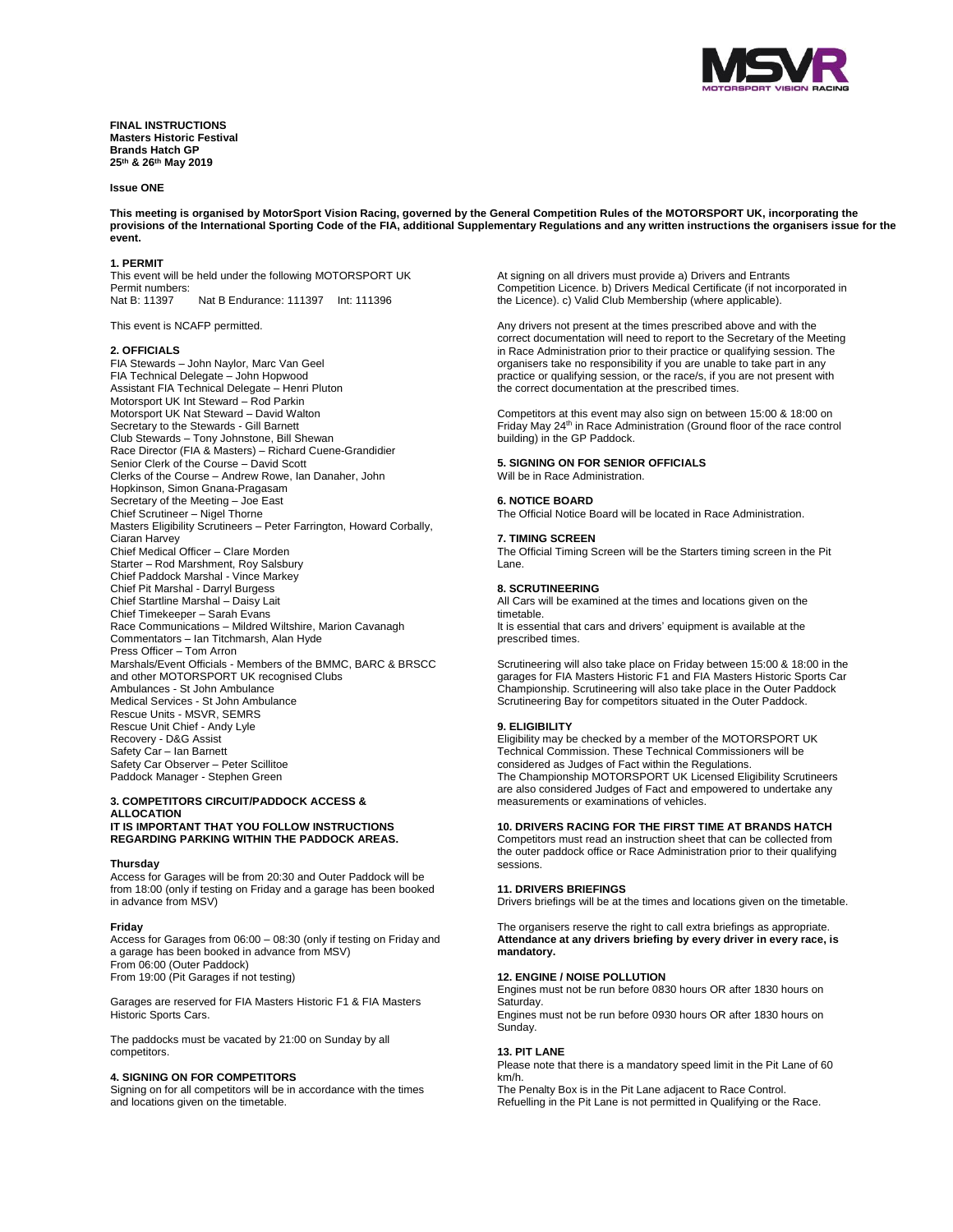

**FINAL INSTRUCTIONS Masters Historic Festival Brands Hatch GP 25 th & 26 th May 2019**

#### **Issue ONE**

**This meeting is organised by MotorSport Vision Racing, governed by the General Competition Rules of the MOTORSPORT UK, incorporating the provisions of the International Sporting Code of the FIA, additional Supplementary Regulations and any written instructions the organisers issue for the event.**

# **1. PERMIT**

This event will be held under the following MOTORSPORT UK Permit numbers:<br>Nat B: 11397 Nat B Endurance: 111397 Int: 111396

This event is NCAFP permitted.

# **2. OFFICIALS**

FIA Stewards – John Naylor, Marc Van Geel FIA Technical Delegate – John Hopwood Assistant FIA Technical Delegate – Henri Pluton Motorsport UK Int Steward – Rod Parkin Motorsport UK Nat Steward – David Walton Secretary to the Stewards - Gill Barnett Club Stewards – Tony Johnstone, Bill Shewan Race Director (FIA & Masters) – Richard Cuene-Grandidier Senior Clerk of the Course – David Scott Clerks of the Course – Andrew Rowe, Ian Danaher, John Hopkinson, Simon Gnana-Pragasam Secretary of the Meeting – Joe East Chief Scrutineer – Nigel Thorne Masters Eligibility Scrutineers – Peter Farrington, Howard Corbally, Ciaran Harvey Chief Medical Officer – Clare Morden Starter – Rod Marshment, Roy Salsbury Chief Paddock Marshal - Vince Markey Chief Pit Marshal - Darryl Burgess Chief Startline Marshal – Daisy Lait Chief Timekeeper – Sarah Evans Race Communications – Mildred Wiltshire, Marion Cavanagh Commentators – Ian Titchmarsh, Alan Hyde Press Officer – Tom Arron Marshals/Event Officials - Members of the BMMC, BARC & BRSCC and other MOTORSPORT UK recognised Clubs Ambulances - St John Ambulance Medical Services - St John Ambulance Rescue Units - MSVR, SEMRS Rescue Unit Chief - Andy Lyle Recovery - D&G Assist Safety Car – Ian Barnett Safety Car Observer – Peter Scillitoe Paddock Manager - Stephen Green

#### **3. COMPETITORS CIRCUIT/PADDOCK ACCESS & ALLOCATION IT IS IMPORTANT THAT YOU FOLLOW INSTRUCTIONS REGARDING PARKING WITHIN THE PADDOCK AREAS.**

#### **Thursday**

Access for Garages will be from 20:30 and Outer Paddock will be from 18:00 (only if testing on Friday and a garage has been booked in advance from MSV)

#### **Friday**

Access for Garages from 06:00 – 08:30 (only if testing on Friday and a garage has been booked in advance from MSV) From 06:00 (Outer Paddock) From 19:00 (Pit Garages if not testing)

Garages are reserved for FIA Masters Historic F1 & FIA Masters Historic Sports Cars.

The paddocks must be vacated by 21:00 on Sunday by all competitors.

#### **4. SIGNING ON FOR COMPETITORS**

Signing on for all competitors will be in accordance with the times and locations given on the timetable.

At signing on all drivers must provide a) Drivers and Entrants Competition Licence. b) Drivers Medical Certificate (if not incorporated in the Licence). c) Valid Club Membership (where applicable).

Any drivers not present at the times prescribed above and with the correct documentation will need to report to the Secretary of the Meeting in Race Administration prior to their practice or qualifying session. The organisers take no responsibility if you are unable to take part in any practice or qualifying session, or the race/s, if you are not present with the correct documentation at the prescribed times.

Competitors at this event may also sign on between 15:00 & 18:00 on Friday May 24<sup>th</sup> in Race Administration (Ground floor of the race control building) in the GP Paddock.

# **5. SIGNING ON FOR SENIOR OFFICIALS**

# Will be in Race Administration.

#### **6. NOTICE BOARD**

The Official Notice Board will be located in Race Administration.

#### **7. TIMING SCREEN**

The Official Timing Screen will be the Starters timing screen in the Pit Lane.

#### **8. SCRUTINEERING**

All Cars will be examined at the times and locations given on the timetable. It is essential that cars and drivers' equipment is available at the prescribed times.

Scrutineering will also take place on Friday between 15:00 & 18:00 in the garages for FIA Masters Historic F1 and FIA Masters Historic Sports Car Championship. Scrutineering will also take place in the Outer Paddock Scrutineering Bay for competitors situated in the Outer Paddock.

#### **9. ELIGIBILITY**

Eligibility may be checked by a member of the MOTORSPORT UK Technical Commission. These Technical Commissioners will be considered as Judges of Fact within the Regulations. The Championship MOTORSPORT UK Licensed Eligibility Scrutineers are also considered Judges of Fact and empowered to undertake any measurements or examinations of vehicles.

#### **10. DRIVERS RACING FOR THE FIRST TIME AT BRANDS HATCH**

Competitors must read an instruction sheet that can be collected from the outer paddock office or Race Administration prior to their qualifying sessions.

#### **11. DRIVERS BRIEFINGS**

Drivers briefings will be at the times and locations given on the timetable.

The organisers reserve the right to call extra briefings as appropriate. **Attendance at any drivers briefing by every driver in every race, is mandatory.**

### **12. ENGINE / NOISE POLLUTION**

Engines must not be run before 0830 hours OR after 1830 hours on Saturday. Engines must not be run before 0930 hours OR after 1830 hours on Sunday.

# **13. PIT LANE**

Please note that there is a mandatory speed limit in the Pit Lane of 60 km/h.

The Penalty Box is in the Pit Lane adjacent to Race Control. Refuelling in the Pit Lane is not permitted in Qualifying or the Race.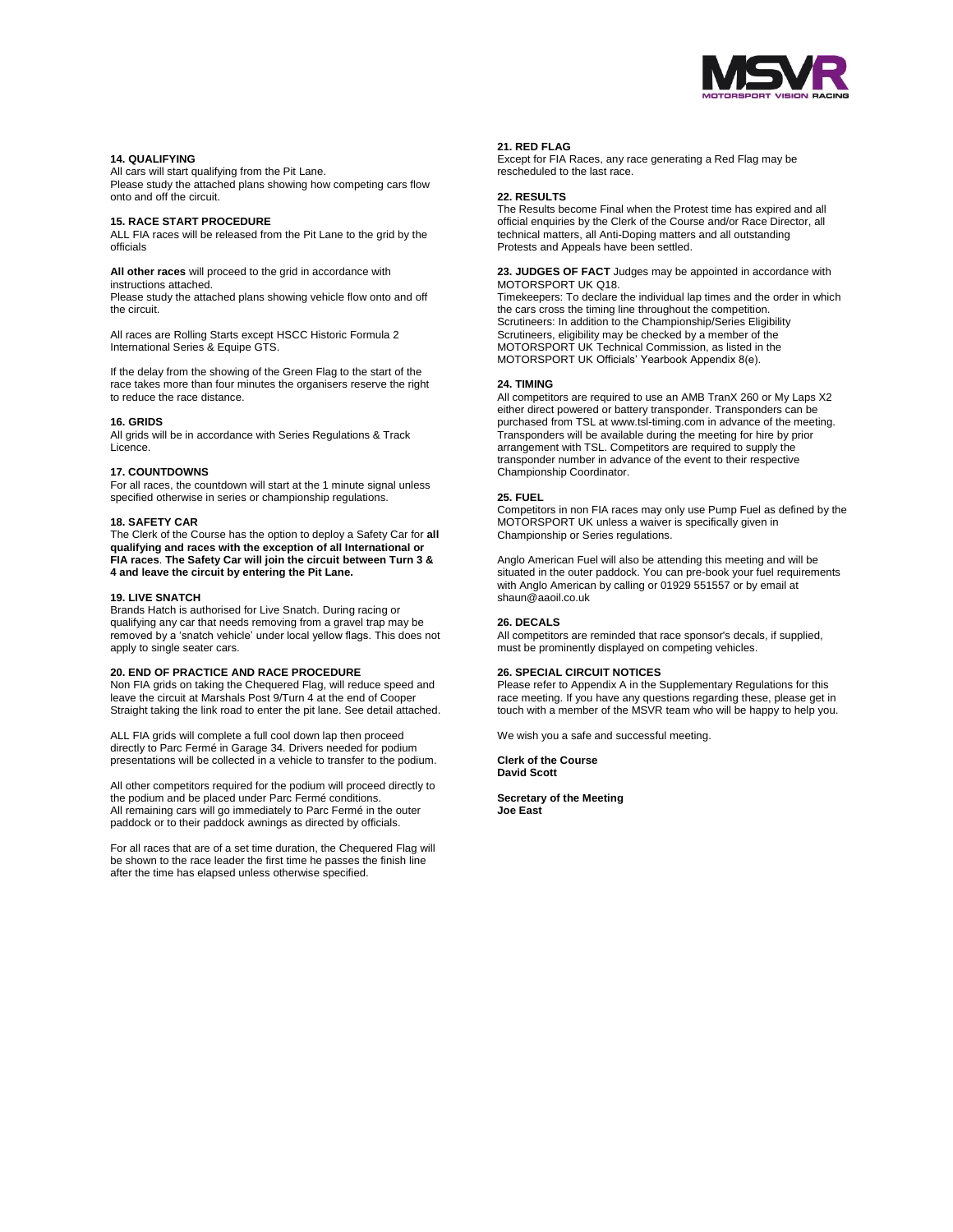

#### **14. QUALIFYING**

All cars will start qualifying from the Pit Lane. Please study the attached plans showing how competing cars flow onto and off the circuit.

#### **15. RACE START PROCEDURE**

ALL FIA races will be released from the Pit Lane to the grid by the officials

**All other races** will proceed to the grid in accordance with instructions attached.

Please study the attached plans showing vehicle flow onto and off the circuit.

All races are Rolling Starts except HSCC Historic Formula 2 International Series & Equipe GTS.

If the delay from the showing of the Green Flag to the start of the race takes more than four minutes the organisers reserve the right to reduce the race distance.

#### **16. GRIDS**

All grids will be in accordance with Series Regulations & Track Licence.

#### **17. COUNTDOWNS**

For all races, the countdown will start at the 1 minute signal unless specified otherwise in series or championship regulations.

#### **18. SAFETY CAR**

The Clerk of the Course has the option to deploy a Safety Car for **all qualifying and races with the exception of all International or FIA races**. **The Safety Car will join the circuit between Turn 3 & 4 and leave the circuit by entering the Pit Lane.** 

#### **19. LIVE SNATCH**

Brands Hatch is authorised for Live Snatch. During racing or qualifying any car that needs removing from a gravel trap may be removed by a 'snatch vehicle' under local yellow flags. This does not apply to single seater cars.

#### **20. END OF PRACTICE AND RACE PROCEDURE**

Non FIA grids on taking the Chequered Flag, will reduce speed and leave the circuit at Marshals Post 9/Turn 4 at the end of Cooper Straight taking the link road to enter the pit lane. See detail attached.

ALL FIA grids will complete a full cool down lap then proceed directly to Parc Fermé in Garage 34. Drivers needed for podium presentations will be collected in a vehicle to transfer to the podium.

All other competitors required for the podium will proceed directly to the podium and be placed under Parc Fermé conditions. All remaining cars will go immediately to Parc Fermé in the outer paddock or to their paddock awnings as directed by officials.

For all races that are of a set time duration, the Chequered Flag will be shown to the race leader the first time he passes the finish line after the time has elapsed unless otherwise specified.

#### **21. RED FLAG**

Except for FIA Races, any race generating a Red Flag may be rescheduled to the last race.

#### **22. RESULTS**

The Results become Final when the Protest time has expired and all official enquiries by the Clerk of the Course and/or Race Director, all technical matters, all Anti-Doping matters and all outstanding Protests and Appeals have been settled.

#### **23. JUDGES OF FACT** Judges may be appointed in accordance with MOTORSPORT UK Q18.

Timekeepers: To declare the individual lap times and the order in which the cars cross the timing line throughout the competition. Scrutineers: In addition to the Championship/Series Eligibility Scrutineers, eligibility may be checked by a member of the MOTORSPORT UK Technical Commission, as listed in the MOTORSPORT UK Officials' Yearbook Appendix 8(e).

#### **24. TIMING**

All competitors are required to use an AMB TranX 260 or My Laps X2 either direct powered or battery transponder. Transponders can be purchased from TSL at www.tsl-timing.com in advance of the meeting. Transponders will be available during the meeting for hire by prior arrangement with TSL. Competitors are required to supply the transponder number in advance of the event to their respective Championship Coordinator.

# **25. FUEL**

Competitors in non FIA races may only use Pump Fuel as defined by the MOTORSPORT UK unless a waiver is specifically given in Championship or Series regulations.

Anglo American Fuel will also be attending this meeting and will be situated in the outer paddock. You can pre-book your fuel requirements with Anglo American by calling or 01929 551557 or by email at shaun@aaoil.co.uk

#### **26. DECALS**

All competitors are reminded that race sponsor's decals, if supplied, must be prominently displayed on competing vehicles.

#### **26. SPECIAL CIRCUIT NOTICES**

Please refer to Appendix A in the Supplementary Regulations for this race meeting. If you have any questions regarding these, please get in touch with a member of the MSVR team who will be happy to help you.

We wish you a safe and successful meeting.

**Clerk of the Course David Scott**

**Secretary of the Meeting Joe East**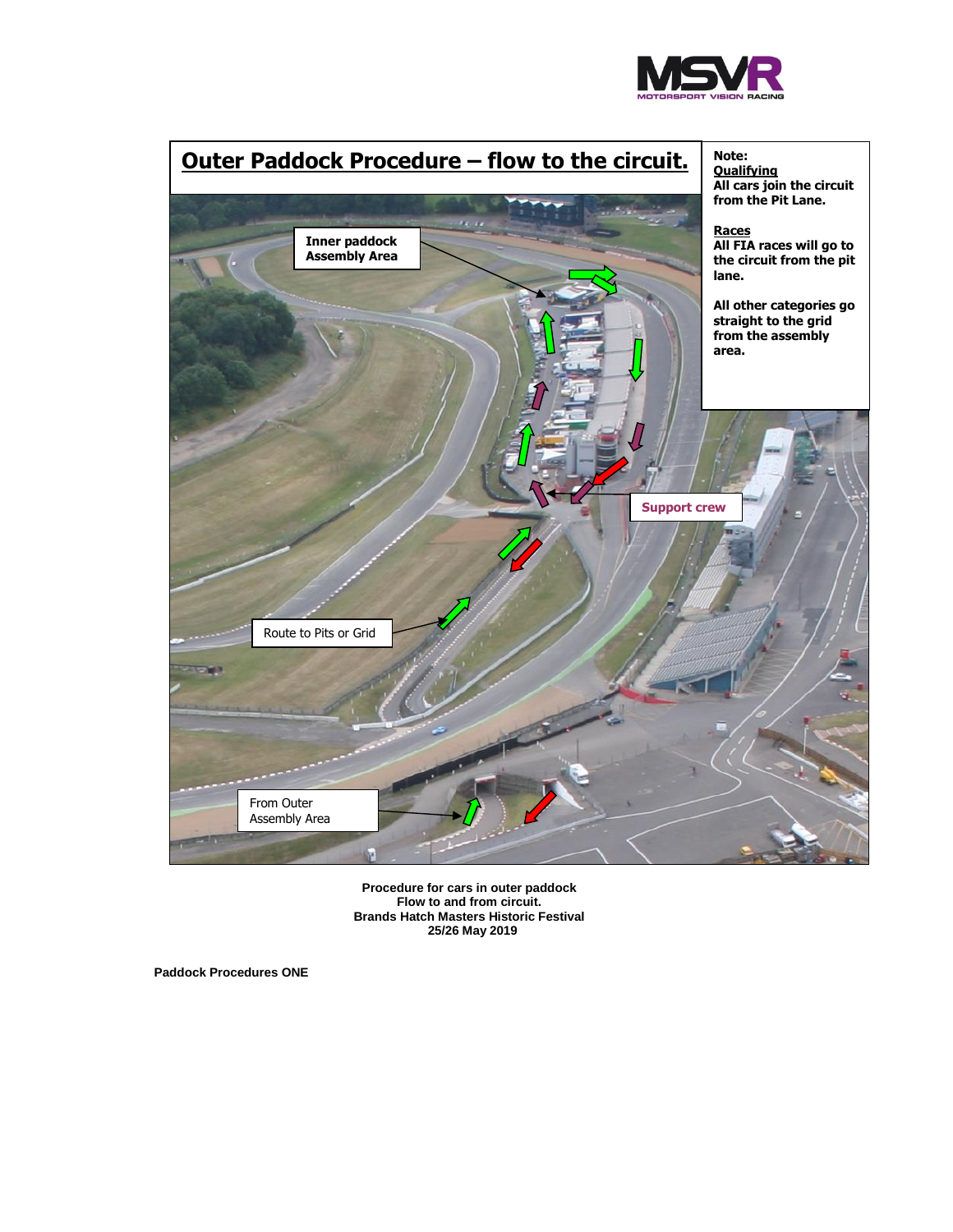



**Procedure for cars in outer paddock Flow to and from circuit. Brands Hatch Masters Historic Festival 25/26 May 2019**

**Paddock Procedures ONE**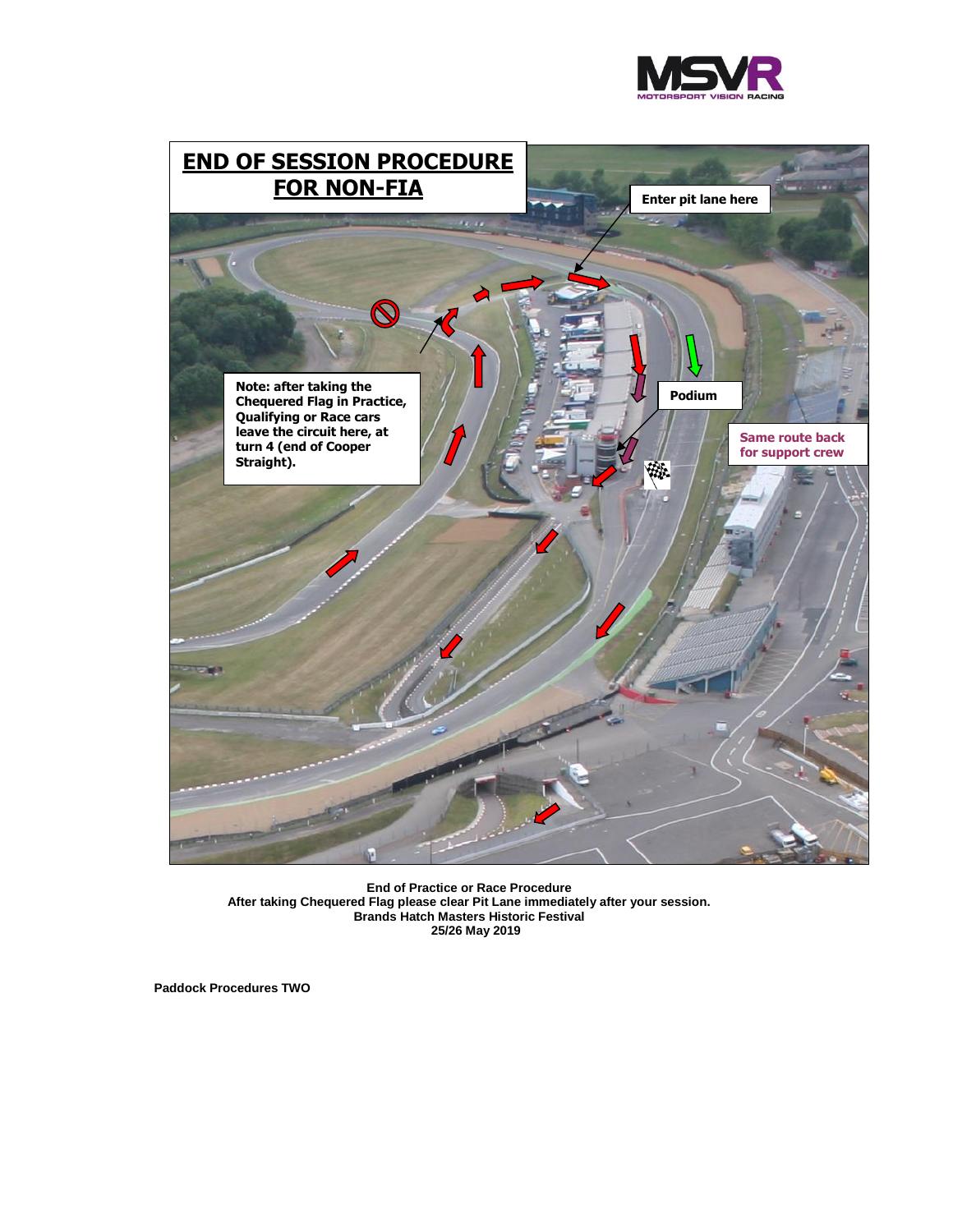



**End of Practice or Race Procedure After taking Chequered Flag please clear Pit Lane immediately after your session. Brands Hatch Masters Historic Festival 25/26 May 2019**

**Paddock Procedures TWO**